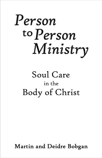# Person to Person Ministry

# **Soul Care** in the Body of Christ

**Martin and Deidre Bobgan**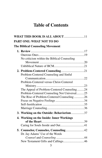## **Table of Contents**

| WHAT THIS BOOK IS ALL ABOUT 11              |  |
|---------------------------------------------|--|
| PART ONE: WHAT NOT TO DO                    |  |
| <b>The Biblical Counseling Movement</b>     |  |
|                                             |  |
|                                             |  |
| No criticism within the Biblical Counseling |  |
|                                             |  |
|                                             |  |
|                                             |  |
| Problem-Centered Counseling and Sinful      |  |
|                                             |  |
| Problem-Centered versus Christ-Centered     |  |
|                                             |  |
| The Appeal of Problem-Centered Counseling24 |  |
| Problem-Centered Counseling Not Universal25 |  |
| The Rise of Problem-Centered Counseling26   |  |
|                                             |  |
|                                             |  |
|                                             |  |
| 3. Working on the Outside: Behaviorism37    |  |
| 4. Working on the Inside: Inner Workings    |  |
|                                             |  |
|                                             |  |
| 5. Counselor, Counselee, Counseling42       |  |
| Dr. Jay Adams' Use of the Words             |  |
|                                             |  |
|                                             |  |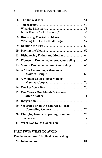| 12. Women in Problem-Centered Counseling 65   |                                                                                                                                                                |
|-----------------------------------------------|----------------------------------------------------------------------------------------------------------------------------------------------------------------|
|                                               |                                                                                                                                                                |
| 14. A Man Counseling a Woman or               |                                                                                                                                                                |
|                                               |                                                                                                                                                                |
|                                               |                                                                                                                                                                |
|                                               |                                                                                                                                                                |
|                                               |                                                                                                                                                                |
|                                               |                                                                                                                                                                |
|                                               |                                                                                                                                                                |
|                                               |                                                                                                                                                                |
|                                               |                                                                                                                                                                |
|                                               |                                                                                                                                                                |
|                                               |                                                                                                                                                                |
|                                               |                                                                                                                                                                |
| PART TWO: WHAT TO AVOID                       |                                                                                                                                                                |
| <b>Problem-Centered "Biblical" Counseling</b> |                                                                                                                                                                |
|                                               |                                                                                                                                                                |
|                                               | 15. A Woman Counseling a Man or<br>17. One Week / One Month / One Year<br>19. Separated-from-the-Church Biblical<br>20. Charging Fees or Expecting Donations74 |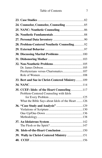| 28. Problem-Centered Nouthetic Counseling92      |  |
|--------------------------------------------------|--|
|                                                  |  |
|                                                  |  |
|                                                  |  |
|                                                  |  |
|                                                  |  |
| Presbyterians versus Charismatics107             |  |
|                                                  |  |
| 33. Bert and Sue in Christ-Centered Ministry109  |  |
|                                                  |  |
| 35. CCEF: Idols- of the Heart Counseling 117     |  |
| Problem-Centered Counseling with Idols           |  |
|                                                  |  |
| What the Bible Says about Idols of the Heart 126 |  |
|                                                  |  |
|                                                  |  |
|                                                  |  |
|                                                  |  |
|                                                  |  |
|                                                  |  |
|                                                  |  |
| 39. Wally in Christ-Centered Ministry 151        |  |
|                                                  |  |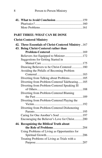#### **PART THREE: WHAT CAN BE DONE**

#### **Christ-Centered Ministry**

| 42. Three Essentials of Christ-Centered Ministry 167 |  |
|------------------------------------------------------|--|
| 43. Being Christ-Centered rather than                |  |
|                                                      |  |
| Believers Are Equipped to Minister172                |  |
| <b>Suggestions for Getting Started in</b>            |  |
|                                                      |  |
| Drawing Believers to be Christ-Centered180           |  |
| Avoiding the Pitfalls of Becoming Problem            |  |
|                                                      |  |
| Diverting from Talking about Problems185             |  |
| Diverting from Problem-Centered Talebearing185       |  |
| Diverting from Problem-Centered Speaking Ill         |  |
|                                                      |  |
| Diverting from Problem-Centered Blaming              |  |
|                                                      |  |
| Diverting from Problem-Centered Playing the          |  |
|                                                      |  |
| Diverting from Problem-Centered Dishonoring          |  |
|                                                      |  |
|                                                      |  |
| Encouraging the Believer's Love for Christ200        |  |
| 44. Recognizing the Biblical Truth about             |  |
|                                                      |  |
| Using Problems of Living as Opportunities for        |  |
|                                                      |  |
| Treating Problems of Living as Trials with a         |  |
|                                                      |  |
|                                                      |  |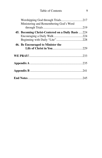| Worshipping God through Trials217                        |  |
|----------------------------------------------------------|--|
| Ministering and Remembering God's Word                   |  |
|                                                          |  |
| <b>45. Becoming Christ-Centered on a Daily Basis 224</b> |  |
|                                                          |  |
|                                                          |  |
| 46. Be Encouraged to Minister the                        |  |
|                                                          |  |
|                                                          |  |
|                                                          |  |
|                                                          |  |
|                                                          |  |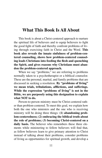### **What This Book Is All About**

This book is about a Christ-centered approach to nurture the spiritual life of believers and to equip believers to fight the good fight of faith and thereby confront problems of living through exercising faith in Christ and the Word. **This book also reveals the innate sinfulness of problem-centered counseling, shows how problem-centered counseling leads Christians into feeding the flesh and quenching the Spirit, and gives reasons why Christians must abandon the problem-centered approach.** 

When we say "problems," we are referring to problems normally taken to a psychotherapist or a biblical counselor. These are the personal, marital, and family problems that are discussed in seeking a resolution. **By "problems of living" we mean trials, tribulations, afflictions, and sufferings. While the expression "problems of living" is not in the Bible, we are purposely using this designation to explain what NOT to do.**

Person-to-person ministry must be Christ-centered rather than problem-centered. To meet this goal, we explain how both the one who ministers and the one who is receiving ministry will be doing three things: **(1) abandoning problem-centeredness; (2) embracing the biblical truth about the role of problems; (3) becoming Christ-centered on a**  daily basis. The believer who remembers these three elements while ministering to fellow believers will find that, as fellow believers learn to give primary attention to Christ instead of talking about their problems, consider problems of living as opportunities for spiritual growth, and develop a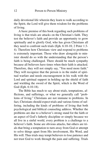daily devotional life wherein they learn to walk according to the Spirit, the Lord will give them wisdom for the problems of living.

A basic premise of this book regarding such problems of living is that trials are attacks on the Christian's faith. They test the believer's faith and provide an opportunity to grow spiritually and to glorify God, who has given Christians all they need to confront such trials (Eph. 6:10-18; 2 Peter 1:3- 4). Therefore how Christians view and respond to problems is extremely important. Those who draw alongside to minister should do so with the understanding that the person's faith is being challenged. There should be much sympathy because all believers have times when their faith is attacked. Therefore, they will not simply say, "You need more faith." They will recognize that the person is in the midst of spiritual warfare and needs encouragement in his walk with the Lord and spiritual support in holding up the shield of faith and wielding the sword of the Spirit, which is the Word of God (Eph. 6:10-18).

The Bible has much to say about trials, temptations, afflictions, and sufferings, or what we generally call "problems of living." Christians are not immune to problems. In fact, Christians should expect trials and various forms of suffering, including the kinds of problems of living that both psychological and biblical counseling address. Whether the problems are due to a believer's strong stand for the faith or an aspect of God's fatherly discipline or simply because we all live in a sinful world, every problem is a challenge to a believer's faith. Some are obvious attacks, but others are trials that bring a temptation to turn away from God or attempt to solve things apart from His involvement, His Word, and His will. Thus trials may tempt believers to lose patience and not trust God to work through the pain and suffering. Trials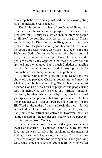also tempt believers to sin against God for the sake of getting rid of unpleasant circumstances.

The Bible presents a view of problems of living very different from the usual human perspective. God uses such problems for His purposes, which include drawing people to Himself, conforming believers to the image of Christ, and building His Kingdom, all to His glory. God thus uses problems for His glory and our good. In contrast, ever since the counseling rage began, Christians have been using the Bible and God, often in combination with the wisdom of man, to solve and get past their problems. The means and the goal are diametrically opposed. God uses problems for our spiritual and eternal good, but in much Christian counseling people often attempt to use God and His Word primarily for elimination of and temporal relief from problems.

Utilitarian Christianity is not limited to seeker-sensitive churches, but pervades Christian counseling and much of what is called biblical counseling. Think about the contrast between God using trials for His purposes and people using God for theirs. One glorifies God and spiritually matures believers; the other dishonors God by using Him for personal gain (personal happiness, relief from problems, etc.). Does this mean that God's dear children are not to turn to Him and His Word in the midst of trials and seek His help? No! He is our Father. He has instructed us to call on Him, and He has promised to instruct and deliver us. However, there is a subtle but stark difference that can occur when the believer's goal is different from God's goal.

Early believers saw trials as God's gracious fatherly means of maturing His children in the faith. Rather than focusing on ways to solve the problems as the means of finding peace and happiness, the early Christians saw problems as opportunities for growing in faith and glorifying God. James urged believers to "**count it all joy when ye fall**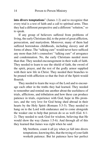**into divers temptations**" (James 1:2) and to recognize that every trial is a test of faith and a call to spiritual arms. Thus they had a different perspective and a different "solution," so to speak.

If any group of believers suffered from problems of living, the early Christians did, to the point of great affliction, persecution, and martyrdom. Moreover, many of them had suffered horrendous childhoods, including slavery and all forms of abuse. The "talking cure" would never have sufficed any more than Job's counselors' "talking cure" of arrogance and condemnation. No, the early Christians needed more than that. They needed encouragement in their walk of faith. They needed to learn to use the shield of faith, the sword of the spirit, prayer, and the rest of the godly armor supplied with their new life in Christ. They needed their branches to be pruned with affliction so that the fruit of the Spirit would flourish.

They needed to learn the ways of the Lord and to encourage each other in the truths they had learned. They needed to remember and remind one another about the usefulness of trials, afflictions, and tribulation and how these can produce patience in trials, experience with God, hope in His promises, and the very love for God being shed abroad in their hearts by the Holy Spirit (Romans 5:3-5). They needed to hang on to the Lord with endurance and to come alongside the weaker one to help that person do so as well (Gal. 6:1- 2). They needed to seek God for wisdom, believing that He would show the way (James 1:5-6). And through all of this they learned that James was right when he said:

> My brethren, count it all joy when ye fall into divers temptations; knowing this, that the trying of your faith worketh patience. But let patience have her perfect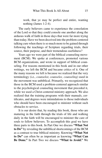work, that ye may be perfect and entire, wanting nothing (James 1:2-4).

The early believers came to experience the consolation of the Lord so that they could console one another along the arduous walk of faith in those days that were far more trying than today. Have we been deceived into the problem-centered talking cure when there is so much more to be gained through following the teachings of Scripture regarding trials, their source, their purpose, and their tremendous usefulness?

Years ago we were part of the biblical counseling movement (BCM). We spoke at conferences, promoted various BCM organizations, and wrote in support of biblical counseling. For reasons mentioned in this book and in our other writings, we left the BCM and became critics of it. One of the many reasons we left is because we realized that the very terminology (i.e., *counselor, counselee, counseling*) used in the movement was unbiblical. Primarily, we recognized that those in the BCM used a problem-centered approach similar to the psychological counseling movement that preceded it, while we used a Christ-centered ministry approach. We also realized that the training programs with their manuals, certificates, and degrees were intimidations to those individuals who should have been encouraged to minister without such obstacles to service.

It is our desire that, by reading this book, those who are maturing in the faith through the trials of life and walking daily in the faith will be encouraged to minister the care of souls to fellow believers. To accomplish this goal we have three parts to this book. In Part One we discuss **"What Not to Do"** by revealing the unbiblical shortcomings of the BCM as a contrast to true biblical ministry. Knowing **"What Not to Do"** can often be as important as knowing **"What Can Be Done."** In Part Two we discuss **"What to Avoid."** We